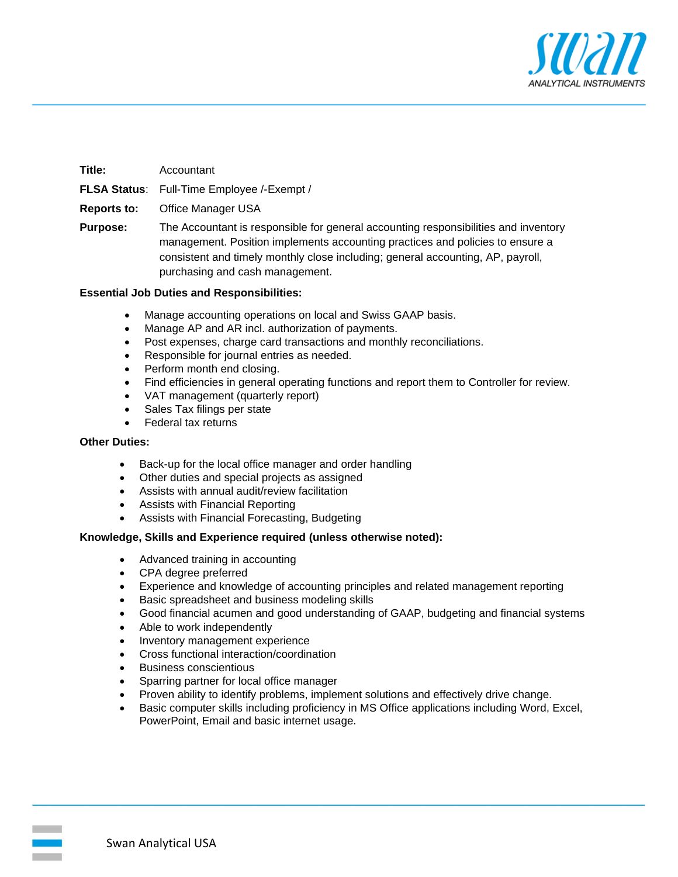

| Title:          | Accountant                                                                                                                                                                                                                                                                                 |
|-----------------|--------------------------------------------------------------------------------------------------------------------------------------------------------------------------------------------------------------------------------------------------------------------------------------------|
|                 | <b>FLSA Status:</b> Full-Time Employee /-Exempt /                                                                                                                                                                                                                                          |
| Reports to:     | Office Manager USA                                                                                                                                                                                                                                                                         |
| <b>Purpose:</b> | The Accountant is responsible for general accounting responsibilities and inventory<br>management. Position implements accounting practices and policies to ensure a<br>consistent and timely monthly close including; general accounting, AP, payroll,<br>purchasing and cash management. |

#### **Essential Job Duties and Responsibilities:**

- Manage accounting operations on local and Swiss GAAP basis.
- Manage AP and AR incl. authorization of payments.
- Post expenses, charge card transactions and monthly reconciliations.
- Responsible for journal entries as needed.
- Perform month end closing.
- Find efficiencies in general operating functions and report them to Controller for review.
- VAT management (quarterly report)
- Sales Tax filings per state
- Federal tax returns

#### **Other Duties:**

- Back-up for the local office manager and order handling
- Other duties and special projects as assigned
- Assists with annual audit/review facilitation
- Assists with Financial Reporting
- Assists with Financial Forecasting, Budgeting

#### **Knowledge, Skills and Experience required (unless otherwise noted):**

- Advanced training in accounting
- CPA degree preferred
- Experience and knowledge of accounting principles and related management reporting
- Basic spreadsheet and business modeling skills
- Good financial acumen and good understanding of GAAP, budgeting and financial systems
- Able to work independently
- Inventory management experience
- Cross functional interaction/coordination
- Business conscientious
- Sparring partner for local office manager
- Proven ability to identify problems, implement solutions and effectively drive change.
- Basic computer skills including proficiency in MS Office applications including Word, Excel, PowerPoint, Email and basic internet usage.